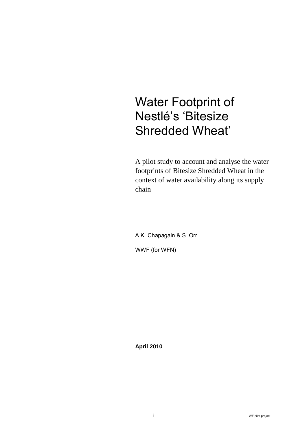# Water Footprint of Nestlé's 'Bitesize Shredded Wheat'

A pilot study to account and analyse the water footprints of Bitesize Shredded Wheat in the context of water availability along its supply chain

A.K. Chapagain & S. Orr WWF (for WFN)

**April 2010**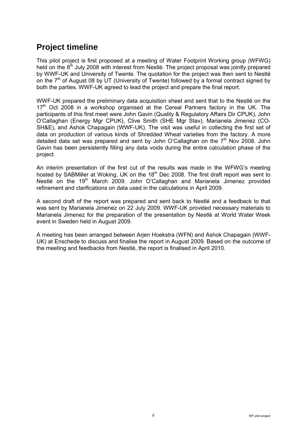# **Project timeline**

This pilot project is first proposed at a meeting of Water Footprint Working group (WFWG) held on the  $8<sup>th</sup>$  July 2008 with interest from Nestlé. The project proposal was jointly prepared by WWF-UK and University of Twente. The quotation for the project was then sent to Nestlé on the  $7<sup>th</sup>$  of August 08 by UT (University of Twente) followed by a formal contract signed by both the parties. WWF-UK agreed to lead the project and prepare the final report.

WWF-UK prepared the preliminary data acquisition sheet and sent that to the Nestlé on the  $17<sup>th</sup>$  Oct 2008 in a workshop organised at the Cereal Partners factory in the UK. The participants of this first meet were John Gavin (Quality & Regulatory Affairs Dir CPUK), John O'Callaghan (Energy Mgr CPUK), Clive Smith (SHE Mgr Stav), Marianela Jimenez (CO-SH&E), and Ashok Chapagain (WWF-UK). The visit was useful in collecting the first set of data on production of various kinds of Shredded Wheat varieties from the factory. A more detailed data set was prepared and sent by John O'Callaghan on the  $7<sup>th</sup>$  Nov 2008. John Gavin has been persistently filling any data voids during the entire calculation phase of the project.

An interim presentation of the first cut of the results was made in the WFWG's meeting hosted by SABMiller at Woking, UK on the 18<sup>th</sup> Dec 2008. The first draft report was sent to Nestlé on the 19<sup>th</sup> March 2009. John O'Callaghan and Marianela Jimenez provided refinement and clarifications on data used in the calculations in April 2009.

A second draft of the report was prepared and sent back to Nestlé and a feedback to that was sent by Marianela Jimenez on 22 July 2009. WWF-UK provided necessary materials to Marianela Jimenez for the preparation of the presentation by Nestlé at World Water Week event in Sweden held in August 2009.

A meeting has been arranged between Arjen Hoekstra (WFN) and Ashok Chapagain (WWF-UK) at Enschede to discuss and finalise the report in August 2009. Based on the outcome of the meeting and feedbacks from Nestlé, the report is finalised in April 2010.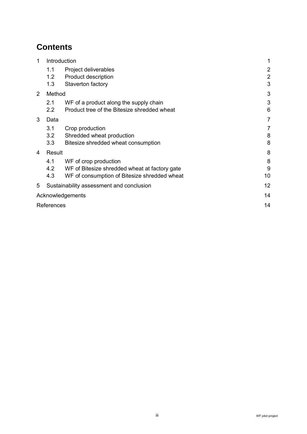# **Contents**

| 1 | Introduction |                                               |                |
|---|--------------|-----------------------------------------------|----------------|
|   | 1.1          | $\overline{2}$                                |                |
|   | 1.2          | <b>Product description</b>                    | $\overline{2}$ |
|   | 1.3          | Staverton factory                             | 3              |
| 2 | Method       |                                               | 3              |
|   | 2.1          | WF of a product along the supply chain        | 3              |
|   | 2.2          | Product tree of the Bitesize shredded wheat   | 6              |
| 3 | Data         |                                               | $\overline{7}$ |
|   | 3.1          | Crop production                               | 7              |
|   | 3.2          | Shredded wheat production                     | 8              |
|   | 3.3          | Bitesize shredded wheat consumption           | 8              |
| 4 | Result       |                                               | 8              |
|   | 4.1          | WF of crop production                         | 8              |
|   | 4.2          | WF of Bitesize shredded wheat at factory gate | 9              |
|   | 4.3          | WF of consumption of Bitesize shredded wheat  | 10             |
| 5 |              | Sustainability assessment and conclusion      | 12             |
|   |              | Acknowledgements                              | 14             |
|   | References   |                                               | 14             |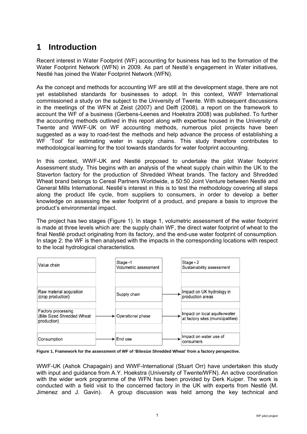# **1 Introduction**

Recent interest in Water Footprint (WF) accounting for business has led to the formation of the Water Footprint Network (WFN) in 2009. As part of Nestlé's engagement in Water initiatives, Nestlé has joined the Water Footprint Network (WFN).

As the concept and methods for accounting WF are still at the development stage, there are not yet established standards for businesses to adopt. In this context, WWF International commissioned a study on the subject to the University of Twente. With subsequent discussions in the meetings of the WFN at Zeist (2007) and Delft (2008), a report on the framework to account the WF of a business (Gerbens-Leenes and Hoekstra 2008) was published. To further the accounting methods outlined in this report along with expertise housed in the University of Twente and WWF-UK on WF accounting methods, numerous pilot projects have been suggested as a way to road-test the methods and help advance the process of establishing a WF 'Tool' for estimating water in supply chains. This study therefore contributes to methodological learning for the tool towards standards for water footprint accounting.

In this context, WWF-UK and Nestlé proposed to undertake the pilot Water footprint Assessment study. This begins with an analysis of the wheat supply chain within the UK to the Staverton factory for the production of Shredded Wheat brands. The factory and Shredded Wheat brand belongs to Cereal Partners Worldwide, a 50:50 Joint Venture between Nestlé and General Mills International. Nestlé's interest in this is to test the methodology covering all steps along the product life cycle, from suppliers to consumers, in order to develop a better knowledge on assessing the water footprint of a product, and prepare a basis to improve the product's environmental impact.

The project has two stages (Figure 1). In stage 1, volumetric assessment of the water footprint is made at three levels which are: the supply chain WF, the direct water footprint of wheat to the final Nestlé product originating from its factory, and the end-use water footprint of consumption. In stage 2: the WF is then analysed with the impacts in the corresponding locations with respect to the local hydrological characteristics.



**Figure 1. Framework for the assessment of WF of 'Bitesize Shredded Wheat' from a factory perspective.**

WWF-UK (Ashok Chapagain) and WWF-International (Stuart Orr) have undertaken this study with input and guidance from A.Y. Hoekstra (University of Twente/WFN). An active coordination with the wider work programme of the WFN has been provided by Derk Kuiper. The work is conducted with a field visit to the concerned factory in the UK with experts from Nestlé (M. Jimenez and J. Gavin). A group discussion was held among the key technical and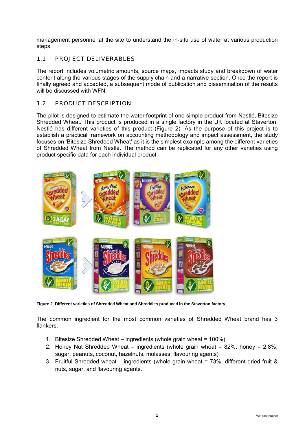management personnel at the site to understand the in-situ use of water at various production steps.

### 1.1 PROJECT DELIVERABLES

The report includes volumetric amounts, source maps, impacts study and breakdown of water content along the various stages of the supply chain and a narrative section. Once the report is finally agreed and accepted, a subsequent mode of publication and dissemination of the results will be discussed with WFN.

### 1.2 PRODUCT DESCRIPTION

The pilot is designed to estimate the water footprint of one simple product from Nestlé, Bitesize Shredded Wheat. This product is produced in a single factory in the UK located at Staverton. Nestlé has different varieties of this product (Figure 2). As the purpose of this project is to establish a practical framework on accounting methodology and impact assessment, the study focuses on 'Bitesize Shredded Wheat' as it is the simplest example among the different varieties of Shredded Wheat from Nestlé. The method can be replicated for any other varieties using product specific data for each individual product.



**Figure 2. Different varieties of Shredded Wheat and Shreddies produced in the Staverton factory**

The common ingredient for the most common varieties of Shredded Wheat brand has 3 flankers:

- 1. Bitesize Shredded Wheat ingredients (whole grain wheat = 100%)
- 2. Honey Nut Shredded Wheat ingredients (whole grain wheat = 82%, honey = 2.8%, sugar, peanuts, coconut, hazelnuts, molasses, flavouring agents)
- 3. Fruitful Shredded wheat ingredients (whole grain wheat = 73%, different dried fruit & nuts, sugar, and flavouring agents.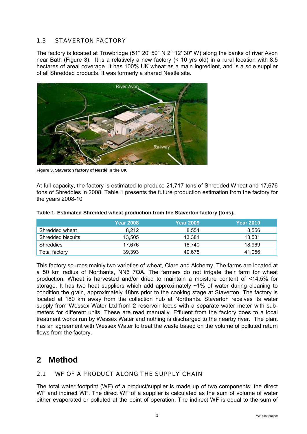### 1.3 STAVERTON FACTORY

The factory is located at Trowbridge (51° 20' 50" N 2° 12' 30" W) along the banks of river Avon near Bath (Figure 3). It is a relatively a new factory (< 10 yrs old) in a rural location with 8.5 hectares of areal coverage. It has 100% UK wheat as a main ingredient, and is a sole supplier of all Shredded products. It was formerly a shared Nestlé site.



**Figure 3. Staverton factory of Nestlé in the UK**

At full capacity, the factory is estimated to produce 21,717 tons of Shredded Wheat and 17,676 tons of Shreddies in 2008. Table 1 presents the future production estimation from the factory for the years 2008-10.

|                   | <b>Year 2008</b> | <b>Year 2009</b> | <b>Year 2010</b> |
|-------------------|------------------|------------------|------------------|
| Shredded wheat    | 8.212            | 8.554            | 8,556            |
| Shredded biscuits | 13,505           | 13.381           | 13,531           |
| Shreddies         | 17.676           | 18.740           | 18.969           |
| Total factory     | 39.393           | 40.675           | 41.056           |

### **Table 1. Estimated Shredded wheat production from the Staverton factory (tons).**

This factory sources mainly two varieties of wheat, Clare and Alchemy. The farms are located at a 50 km radius of Northants, NN6 7QA. The farmers do not irrigate their farm for wheat production. Wheat is harvested and/or dried to maintain a moisture content of <14.5% for storage. It has two heat suppliers which add approximately ~1% of water during cleaning to condition the grain, approximately 48hrs prior to the cooking stage at Staverton. The factory is located at 180 km away from the collection hub at Northants. Staverton receives its water supply from Wessex Water Ltd from 2 reservoir feeds with a separate water meter with submeters for different units. These are read manually. Effluent from the factory goes to a local treatment works run by Wessex Water and nothing is discharged to the nearby river. The plant has an agreement with Wessex Water to treat the waste based on the volume of polluted return flows from the factory.

### **2 Method**

### 2.1 WF OF A PRODUCT ALONG THE SUPPLY CHAIN

The total water footprint (WF) of a product/supplier is made up of two components; the direct WF and indirect WF. The direct WF of a supplier is calculated as the sum of volume of water either evaporated or polluted at the point of operation. The indirect WF is equal to the sum of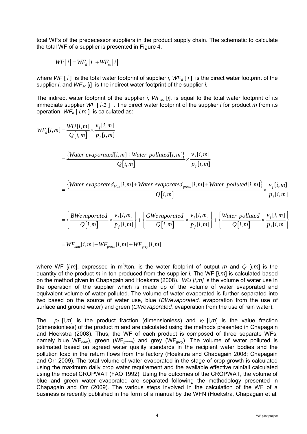total WFs of the predecessor suppliers in the product supply chain. The schematic to calculate the total WF of a supplier is presented in Figure 4.

$$
WF[i] = WF_d[i] + WF_{sc}[i]
$$

where *WF* [ *i* ] is the total water footprint of supplier *i*, *WF<sub>d</sub>* [ *i* ] is the direct water footprint of the supplier *i*, and *WFsc* [*i*] is the indirect water footprint of the supplier *i.*

The indirect water footprint of the supplier *i, WF<sub>sc</sub>* [*i*], is equal to the total water footprint of its immediate supplier *WF* [ *i-1* ] . The direct water footprint of the supplier *i* for product *m* from its operation,  $WF_d$  [ *i,m* ] is calculated as:

$$
WF_{d}[i,m] = \frac{WU[i,m]}{Q[i,m]} \times \frac{v_{f}[i,m]}{p_{f}[i,m]}
$$
  
\n
$$
= \frac{\{Water\ evaporated[i,m] + Water\ polluted[i,m]\}}{Q[i,m]} \times \frac{v_{f}[i,m]}{p_{f}[i,m]}
$$
  
\n
$$
= \frac{\{Water\ evaporated_{blue}[i,m] + Water\ evaporated_{green}[i,m] + Water\ polluted[i,m]\}}{Q[i,m]} \times \frac{v_{f}[i,m]}{p_{f}[i,m]}
$$
  
\n
$$
= \left\{ \frac{BWevaporated}{Q[i,m]} \times \frac{v_{f}[i,m]}{p_{f}[i,m]} \right\} + \left\{ \frac{GWevaporated}{Q[i,m]} \times \frac{v_{f}[i,m]}{p_{f}[i,m]} \right\} + \left\{ \frac{Water\ polluted}{Q[i,m]} \times \frac{v_{f}[i,m]}{p_{f}[i,m]} \right\}
$$

$$
= WF_{blue}[i,m] + WF_{green}[i,m] + WF_{grey}[i,m]
$$

where WF  $[i,m]$ , expressed in m<sup>3</sup>/ton, is the water footprint of output *m* and *Q*  $[i,m]$  is the quantity of the product *m* in ton produced from the supplier *i.* The WF [*i,m*] is calculated based on the method given in Chapagain and Hoekstra (2008). *WU [i,m]* is the volume of water use in the operation of the supplier which is made up of the volume of water evaporated and equivalent volume of water polluted. The volume of water evaporated is further separated into two based on the source of water use, blue (*BWevaporated,* evaporation from the use of surface and ground water) and green (*GWevaporated,* evaporation from the use of rain water).

The  $p_f$  [i,*m*] is the product fraction (dimensionless) and  $v_f$  [i,*m*] is the value fraction (dimensionless) of the product m and are calculated using the methods presented in Chapagain and Hoekstra (2008). Thus, the WF of each product is composed of three separate WFs, namely blue WF*blue*), green (WF*green*) and grey (WF*grey*). The volume of water polluted is estimated based on agreed water quality standards in the recipient water bodies and the pollution load in the return flows from the factory (Hoekstra and Chapagain 2008; Chapagain and Orr 2009). The total volume of water evaporated in the stage of crop growth is calculated using the maximum daily crop water requirement and the available effective rainfall calculated using the model CROPWAT (FAO 1992). Using the outcomes of the CROPWAT, the volume of blue and green water evaporated are separated following the methodology presented in Chapagain and Orr (2009). The various steps involved in the calculation of the WF of a business is recently published in the form of a manual by the WFN (Hoekstra, Chapagain et al.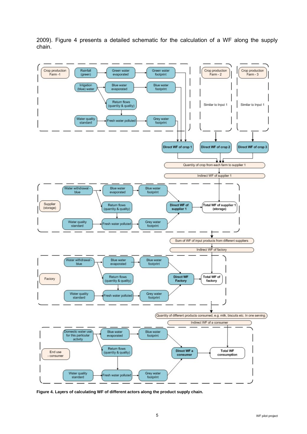2009). Figure 4 presents a detailed schematic for the calculation of a WF along the supply chain.



**Figure 4. Layers of calculating WF of different actors along the product supply chain.**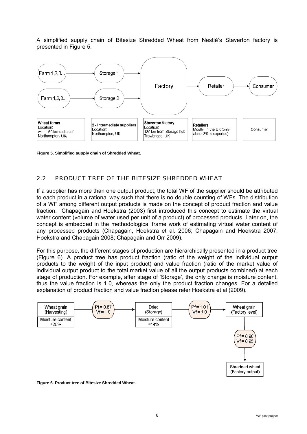A simplified supply chain of Bitesize Shredded Wheat from Nestlé's Staverton factory is presented in Figure 5.



**Figure 5. Simplified supply chain of Shredded Wheat.**

### 2.2 PRODUCT TREE OF THE BITESIZE SHREDDED WHEAT

If a supplier has more than one output product, the total WF of the supplier should be attributed to each product in a rational way such that there is no double counting of WFs. The distribution of a WF among different output products is made on the concept of product fraction and value fraction. Chapagain and Hoekstra (2003) first introduced this concept to estimate the virtual water content (volume of water used per unit of a product) of processed products. Later on, the concept is embedded in the methodological frame work of estimating virtual water content of any processed products (Chapagain, Hoekstra et al. 2006; Chapagain and Hoekstra 2007; Hoekstra and Chapagain 2008; Chapagain and Orr 2009).

For this purpose, the different stages of production are hierarchically presented in a product tree (Figure 6). A product tree has product fraction (ratio of the weight of the individual output products to the weight of the input product) and value fraction (ratio of the market value of individual output product to the total market value of all the output products combined) at each stage of production. For example, after stage of 'Storage', the only change is moisture content, thus the value fraction is 1.0, whereas the only the product fraction changes. For a detailed explanation of product fraction and value fraction please refer Hoekstra et al (2009).



**Figure 6. Product tree of Bitesize Shredded Wheat.**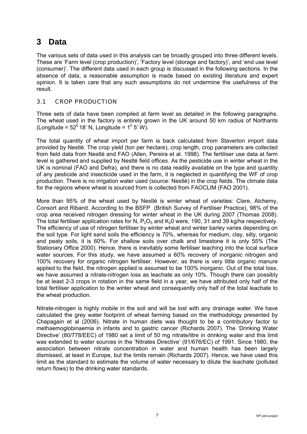# **3 Data**

The various sets of data used in this analysis can be broadly grouped into three different levels. These are 'Farm level (crop production)', 'Factory level (storage and factory)', and 'end use level (consumer)'. The different data used in each group is discussed in the following sections. In the absence of data, a reasonable assumption is made based on existing literature and expert opinion. It is taken care that any such assumptions do not undermine the usefulness of the result.

### 3.1 CROP PRODUCTION

Three sets of data have been compiled at farm level as detailed in the following paragraphs. The wheat used in the factory is entirely grown in the UK around 50 km radius of Northants (Longitude =  $52^{\circ}$  18' N, Longitude =  $1^{\circ}$  5' W).

The total quantity of wheat import per farm is back calculated from Staverton import data provided by Nestlé. The crop yield (ton per hectare), crop length, crop parameters are collected from field data from Nestlé and FAO (Allen, Pereira et al. 1998). The fertiliser use data at farm level is gathered and supplied by Nestlé field offices. As the pesticide use in winter wheat in the UK is nominal (FAO and Defra), and there is no data readily available on the type and quantity of any pesticide and insecticide used in the farm, it is neglected in quantifying the WF of crop production. There is no irrigation water used (source: Nestlé) in the crop fields. The climate data for the regions where wheat is sourced from is collected from FAOCLIM (FAO 2001).

More than 95% of the wheat used by Nestlé is winter wheat of varieties: Clare, Alchemy, Consort and Riband. According to the BSFP (British Survey of Fertiliser Practice), 98% of the crop area received nitrogen dressing for winter wheat in the UK during 2007 (Thomas 2008). The total fertiliser application rates for N,  $P_2O_5$  and K<sub>2</sub>0 were, 190, 31 and 39 kg/ha respectively. The efficiency of use of nitrogen fertiliser by winter wheat and winter barley varies depending on the soil type. For light sand soils the efficiency is 70%, whereas for medium, clay, silty, organic and peaty soils, it is 60%. For shallow soils over chalk and limestone it is only 55% (The Stationary Office 2000). Hence, there is inevitably some fertiliser leaching into the local surface water sources. For this study, we have assumed a 60% recovery of inorganic nitrogen and 100% recovery for organic nitrogen fertiliser. However, as there is very little organic manure applied to the field, the nitrogen applied is assumed to be 100% inorganic. Out of the total loss, we have assumed a nitrate-nitrogen loss as leachate as only 10%. Though there can possibly be at least 2-3 crops in rotation in the same field in a year, we have attributed only half of the total fertiliser application to the winter wheat and consequently only half of the total leachate to the wheat production.

Nitrate-nitrogen is highly mobile in the soil and will be lost with any drainage water. We have calculated the grey water footprint of wheat farming based on the methodology presented by Chapagain et al (2006). Nitrate in human diets was thought to be a contributory factor to methaemoglobinaemia in infants and to gastric cancer (Richards 2007). The 'Drinking Water Directive' (80/778/EEC) of 1980 set a limit of 50 mg nitrate/litre in drinking water and this limit was extended to water sources in the 'Nitrates Directive' (91/676/EC) of 1991. Since 1980, the association between nitrate concentration in water and human health has been largely dismissed, at least in Europe, but the limits remain (Richards 2007). Hence, we have used this limit as the standard to estimate the volume of water necessary to dilute the leachate (polluted return flows) to the drinking water standards.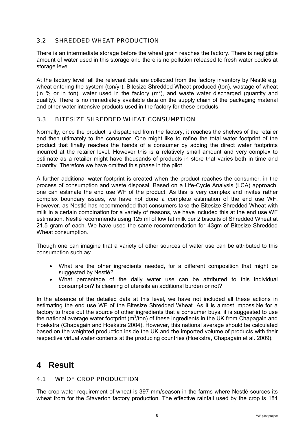### 3.2 SHREDDED WHEAT PRODUCTION

There is an intermediate storage before the wheat grain reaches the factory. There is negligible amount of water used in this storage and there is no pollution released to fresh water bodies at storage level.

At the factory level, all the relevant data are collected from the factory inventory by Nestlé e.g. wheat entering the system (ton/yr), Bitesize Shredded Wheat produced (ton), wastage of wheat (in % or in ton), water used in the factory  $(m^3)$ , and waste water discharged (quantity and quality). There is no immediately available data on the supply chain of the packaging material and other water intensive products used in the factory for these products.

### 3.3 BITESIZE SHREDDED WHEAT CONSUMPTION

Normally, once the product is dispatched from the factory, it reaches the shelves of the retailer and then ultimately to the consumer. One might like to refine the total water footprint of the product that finally reaches the hands of a consumer by adding the direct water footprints incurred at the retailer level. However this is a relatively small amount and very complex to estimate as a retailer might have thousands of products in store that varies both in time and quantity. Therefore we have omitted this phase in the pilot.

A further additional water footprint is created when the product reaches the consumer, in the process of consumption and waste disposal. Based on a Life-Cycle Analysis (LCA) approach, one can estimate the end use WF of the product. As this is very complex and invites rather complex boundary issues, we have not done a complete estimation of the end use WF. However, as Nestlé has recommended that consumers take the Bitesize Shredded Wheat with milk in a certain combination for a variety of reasons, we have included this at the end use WF estimation. Nestlé recommends using 125 ml of low fat milk per 2 biscuits of Shredded Wheat at 21.5 gram of each. We have used the same recommendation for 43gm of Bitesize Shredded Wheat consumption.

Though one can imagine that a variety of other sources of water use can be attributed to this consumption such as:

- What are the other ingredients needed, for a different composition that might be suggested by Nestlé?
- What percentage of the daily water use can be attributed to this individual consumption? Is cleaning of utensils an additional burden or not?

In the absence of the detailed data at this level, we have not included all these actions in estimating the end use WF of the Bitesize Shredded Wheat. As it is almost impossible for a factory to trace out the source of other ingredients that a consumer buys, it is suggested to use the national average water footprint ( $m^3$ /ton) of these ingredients in the UK from Chapagain and Hoekstra (Chapagain and Hoekstra 2004). However, this national average should be calculated based on the weighted production inside the UK and the imported volume of products with their respective virtual water contents at the producing countries (Hoekstra, Chapagain et al. 2009).

### **4 Result**

### 4.1 WF OF CROP PRODUCTION

The crop water requirement of wheat is 397 mm/season in the farms where Nestlé sources its wheat from for the Staverton factory production. The effective rainfall used by the crop is 184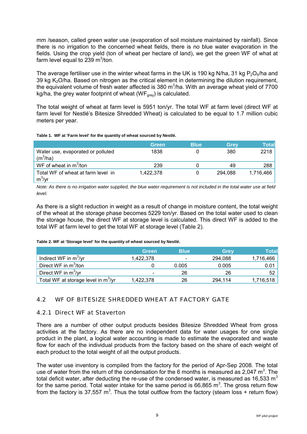mm /season, called green water use (evaporation of soil moisture maintained by rainfall). Since there is no irrigation to the concerned wheat fields, there is no blue water evaporation in the fields. Using the crop yield (ton of wheat per hectare of land), we get the green WF of what at farm level equal to 239  $m^3$ /ton.

The average fertiliser use in the winter wheat farms in the UK is 190 kg N/ha, 31 kg  $P_2O_5/ha$  and 39 kg  $K<sub>2</sub>O/ha$ . Based on nitrogen as the critical element in determining the dilution requirement, the equivalent volume of fresh water affected is 380 m<sup>3</sup>/ha. With an average wheat yield of 7700 kg/ha, the grey water footprint of wheat ( $WF<sub>grey</sub>$ ) is calculated.

The total weight of wheat at farm level is 5951 ton/yr. The total WF at farm level (direct WF at farm level for Nestlé's Bitesize Shredded Wheat) is calculated to be equal to 1.7 million cubic meters per year.

#### **Table 1. WF at 'Farm level' for the quantity of wheat sourced by Nestlé.**

|                                                 | Green     | <b>Blue</b> | Grey    | Total     |
|-------------------------------------------------|-----------|-------------|---------|-----------|
| Water use, evaporated or polluted<br>$(m^3/ha)$ | 1838      |             | 380     | 2218      |
| WF of wheat in $m^3$ /ton                       | 239       |             | 49      | 288       |
| Total WF of wheat at farm level in<br>$m^3/yr$  | 1.422.378 |             | 294.088 | 1,716,466 |

*Note: As there is no irrigation water supplied, the blue water requirement is not included in the total water use at field level.* 

As there is a slight reduction in weight as a result of change in moisture content, the total weight of the wheat at the storage phase becomes 5229 ton/yr. Based on the total water used to clean the storage house, the direct WF at storage level is calculated. This direct WF is added to the total WF at farm level to get the total WF at storage level (Table 2).

### **Table 2. WF at 'Storage level' for the quantity of wheat sourced by Nestlé.**

|                                                 | <b>Green</b>             | <b>Blue</b>              | Grev    | Totall    |
|-------------------------------------------------|--------------------------|--------------------------|---------|-----------|
| Indirect WF in $m^3$ /yr                        | 1.422.378                | $\overline{\phantom{0}}$ | 294.088 | 1,716,466 |
| Direct WF in m <sup>3</sup> /ton                |                          | 0.005                    | 0.005   | 0.01      |
| Direct WF in $m^3$ /yr                          | $\overline{\phantom{0}}$ | 26                       | 26      | 52        |
| Total WF at storage level in m <sup>3</sup> /yr | 1,422,378                | 26                       | 294,114 | 1,716,518 |

### 4.2 WF OF BITESIZE SHREDDED WHEAT AT FACTORY GATE

### 4.2.1 Direct WF at Staverton

There are a number of other output products besides Bitesize Shredded Wheat from gross activities at the factory. As there are no independent data for water usages for one single product in the plant, a logical water accounting is made to estimate the evaporated and waste flow for each of the individual products from the factory based on the share of each weight of each product to the total weight of all the output products.

The water use inventory is compiled from the factory for the period of Apr-Sep 2008. The total use of water from the return of the condensation for the 6 months is measured as 2,047 m<sup>3</sup>. The total deficit water, after deducting the re-use of the condensed water, is measured as 16,533  $m<sup>3</sup>$ for the same period. Total water intake for the same period is 66,865  $m^3$ . The gross return flow from the factory is 37,557 m<sup>3</sup>. Thus the total outflow from the factory (steam loss + return flow)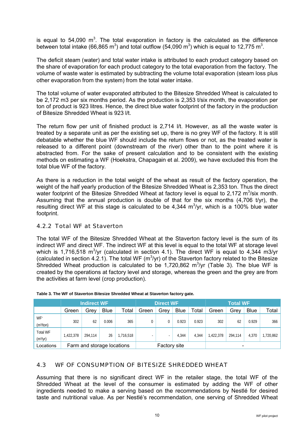is equal to 54,090  $m^3$ . The total evaporation in factory is the calculated as the difference between total intake (66,865 m<sup>3</sup>) and total outflow (54,090 m<sup>3</sup>) which is equal to 12,775 m<sup>3</sup>.

The deficit steam (water) and total water intake is attributed to each product category based on the share of evaporation for each product category to the total evaporation from the factory. The volume of waste water is estimated by subtracting the volume total evaporation (steam loss plus other evaporation from the system) from the total water intake.

The total volume of water evaporated attributed to the Bitesize Shredded Wheat is calculated to be 2,172 m3 per six months period. As the production is 2,353 t/six month, the evaporation per ton of product is 923 litres. Hence, the direct blue water footprint of the factory in the production of Bitesize Shredded Wheat is 923 l/t.

The return flow per unit of finished product is 2,714 l/t. However, as all the waste water is treated by a separate unit as per the existing set up, there is no grey WF of the factory. It is still debatable whether the blue WF should include the return flows or not, as the treated water is released to a different point (downstream of the river) other than to the point where it is abstracted from. For the sake of present calculation and to be consistent with the existing methods on estimating a WF (Hoekstra, Chapagain et al. 2009), we have excluded this from the total blue WF of the factory.

As there is a reduction in the total weight of the wheat as result of the factory operation, the weight of the half yearly production of the Bitesize Shredded Wheat is 2,353 ton. Thus the direct water footprint of the Bitesize Shredded Wheat at factory level is equal to 2,172  $m^3$ /six month. Assuming that the annual production is double of that for the six months (4,706 t/yr), the resulting direct WF at this stage is calculated to be  $4,344$  m<sup>3</sup>/yr, which is a 100% blue water footprint.

### 4.2.2 Total WF at Staverton

The total WF of the Bitesize Shredded Wheat at the Staverton factory level is the sum of its indirect WF and direct WF. The indirect WF at this level is equal to the total WF at storage level which is 1,716,518 m<sup>3</sup>/yr (calculated in section 4.1). The direct WF is equal to 4,344 m3/yr (calculated in section 4.2.1). The total WF ( $m<sup>3</sup>/yr$ ) of the Staverton factory related to the Bitesize Shredded Wheat production is calculated to be 1,720,862  $m^3$ /yr (Table 3). The blue WF is created by the operations at factory level and storage, whereas the green and the grey are from the activities at farm level (crop production).

|                                         | <b>Indirect WF</b> |                            |             | <b>Direct WF</b> |       |              |             | <b>Total WF</b> |           |                          |             |           |
|-----------------------------------------|--------------------|----------------------------|-------------|------------------|-------|--------------|-------------|-----------------|-----------|--------------------------|-------------|-----------|
|                                         | Green              | Grey                       | <b>Blue</b> | Total            | Green | Grey         | <b>Blue</b> | Total           | Green     | Grev                     | <b>Blue</b> | Total     |
| WF*<br>(m <sup>3</sup> /ton)            | 302                | 62                         | 0.006       | 365              | 0     |              | 0.923       | 0.923           | 302       | 62                       | 0.929       | 366       |
| <b>Total WF</b><br>(m <sup>3</sup> /yr) | 422,378            | 294.114                    | 26          | 1,716,518        |       |              | 4.344       | 4.344           | 1,422,378 | 294.114                  | 4,370       | 1,720,862 |
| Locations                               |                    | Farm and storage locations |             |                  |       | Factory site |             |                 |           | $\overline{\phantom{a}}$ |             |           |

|  |  |  | Table 3. The WF of Staverton Bitesize Shredded Wheat at Staverton factory gate. |
|--|--|--|---------------------------------------------------------------------------------|
|  |  |  |                                                                                 |

### 4.3 WF OF CONSUMPTION OF BITESIZE SHREDDED WHEAT

Assuming that there is no significant direct WF in the retailer stage, the total WF of the Shredded Wheat at the level of the consumer is estimated by adding the WF of other ingredients needed to make a serving based on the recommendations by Nestlé for desired taste and nutritional value. As per Nestlé's recommendation, one serving of Shredded Wheat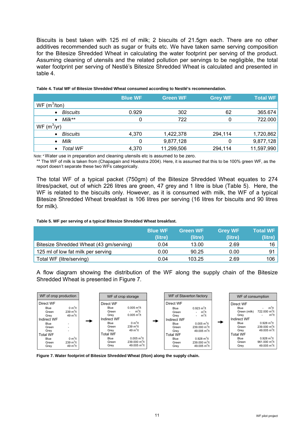Biscuits is best taken with 125 ml of milk; 2 biscuits of 21.5gm each. There are no other additives recommended such as sugar or fruits etc. We have taken same serving composition for the Bitesize Shredded Wheat in calculating the water footprint per serving of the product. Assuming cleaning of utensils and the related pollution per servings to be negligible, the total water footprint per serving of Nestlé's Bitesize Shredded Wheat is calculated and presented in table 4.

|                              | <b>Blue WF</b> | <b>Green WF</b> | <b>Grey WF</b> | <b>Total WF</b> |
|------------------------------|----------------|-----------------|----------------|-----------------|
| $WF$ (m <sup>3</sup> /ton)   |                |                 |                |                 |
| <b>Biscuits</b><br>$\bullet$ | 0.929          | 302             | 62             | 365.674         |
| $M$ ilk**<br>$\bullet$       | 0              | 722             |                | 722.000         |
| $WF(m^3/yr)$                 |                |                 |                |                 |
| <b>Biscuits</b><br>$\bullet$ | 4,370          | 1,422,378       | 294,114        | 1,720,862       |
| Milk<br>$\bullet$            | 0              | 9,877,128       |                | 9,877,128       |
| Total WF<br>$\bullet$        | 4,370          | 11,299,506      | 294,114        | 11,597,990      |

#### **Table 4. Total WF of Bitesize Shredded Wheat consumed according to Nestlé's recommendation.**

Note: \* Water use in preparation and cleaning utensils etc is assumed to be zero.

\*\* The WF of milk is taken from (Chapagain and Hoekstra 2004). Here, it is assumed that this to be 100% green WF, as the report doesn't separate these two WFs categorically.

The total WF of a typical packet (750gm) of the Bitesize Shredded Wheat equates to 274 litres/packet, out of which 226 litres are green, 47 grey and 1 litre is blue (Table 5). Here, the WF is related to the biscuits only. However, as it is consumed with milk, the WF of a typical Bitesize Shredded Wheat breakfast is 106 litres per serving (16 litres for biscuits and 90 litres for milk).

#### **Table 5. WF per serving of a typical Bitesize Shredded Wheat breakfast.**

|                                         | <b>Blue WF</b><br>(litre) | <b>Green WF</b><br>(litre) | <b>Grey WF</b><br>(litre) | <b>Total WF</b><br>(litre) |
|-----------------------------------------|---------------------------|----------------------------|---------------------------|----------------------------|
| Bitesize Shredded Wheat (43 gm/serving) | 0.04                      | 13.00                      | 2.69                      | 16                         |
| 125 ml of low fat milk per serving      | 0.00                      | 90.25                      | 0.00                      | 91                         |
| Total WF (litre/serving)                | 0.04                      | 103.25                     | 2.69                      | 106                        |

A flow diagram showing the distribution of the WF along the supply chain of the Bitesize Shredded Wheat is presented in Figure 7.



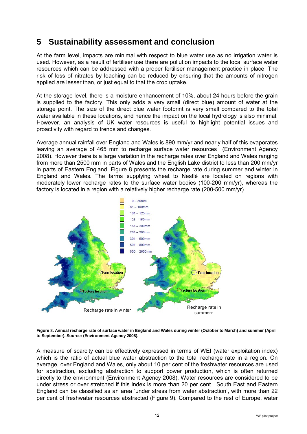## **5 Sustainability assessment and conclusion**

At the farm level, impacts are minimal with respect to blue water use as no irrigation water is used. However, as a result of fertiliser use there are pollution impacts to the local surface water resources which can be addressed with a proper fertiliser management practice in place. The risk of loss of nitrates by leaching can be reduced by ensuring that the amounts of nitrogen applied are lesser than, or just equal to that the crop uptake.

At the storage level, there is a moisture enhancement of 10%, about 24 hours before the grain is supplied to the factory. This only adds a very small (direct blue) amount of water at the storage point. The size of the direct blue water footprint is very small compared to the total water available in these locations, and hence the impact on the local hydrology is also minimal. However, an analysis of UK water resources is useful to highlight potential issues and proactivity with regard to trends and changes.

Average annual rainfall over England and Wales is 890 mm/yr and nearly half of this evaporates leaving an average of 465 mm to recharge surface water resources (Environment Agency 2008). However there is a large variation in the recharge rates over England and Wales ranging from more than 2500 mm in parts of Wales and the English Lake district to less than 200 mm/yr in parts of Eastern England. Figure 8 presents the recharge rate during summer and winter in England and Wales. The farms supplying wheat to Nestlé are located on regions with moderately lower recharge rates to the surface water bodies (100-200 mm/yr), whereas the factory is located in a region with a relatively higher recharge rate (200-500 mm/yr).



**Figure 8. Annual recharge rate of surface water in England and Wales during winter (October to March) and summer (April to September). Source: (Environment Agency 2008).**

A measure of scarcity can be effectively expressed in terms of WEI (water exploitation index) which is the ratio of actual blue water abstraction to the total recharge rate in a region. On average, over England and Wales, only about 10 per cent of the freshwater resources are used for abstraction, excluding abstraction to support power production, which is often returned directly to the environment (Environment Agency 2008). Water resources are considered to be under stress or over stretched if this index is more than 20 per cent. South East and Eastern England can be classified as an area 'under stress from water abstraction', with more than 22 per cent of freshwater resources abstracted (Figure 9). Compared to the rest of Europe, water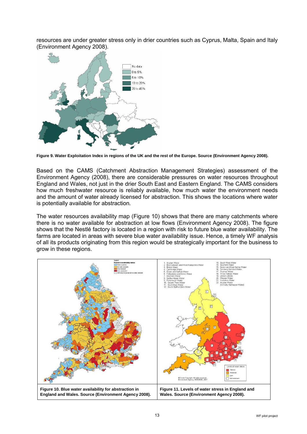resources are under greater stress only in drier countries such as Cyprus, Malta, Spain and Italy (Environment Agency 2008).



**Figure 9. Water Exploitation Index in regions of the UK and the rest of the Europe. Source (Environment Agency 2008).**

Based on the CAMS (Catchment Abstraction Management Strategies) assessment of the Environment Agency (2008), there are considerable pressures on water resources throughout England and Wales, not just in the drier South East and Eastern England. The CAMS considers how much freshwater resource is reliably available, how much water the environment needs and the amount of water already licensed for abstraction. This shows the locations where water is potentially available for abstraction.

The water resources availability map (Figure 10) shows that there are many catchments where there is no water available for abstraction at low flows (Environment Agency 2008). The figure shows that the Nestlé factory is located in a region with risk to future blue water availability. The farms are located in areas with severe blue water availability issue. Hence, a timely WF analysis of all its products originating from this region would be strategically important for the business to grow in these regions.

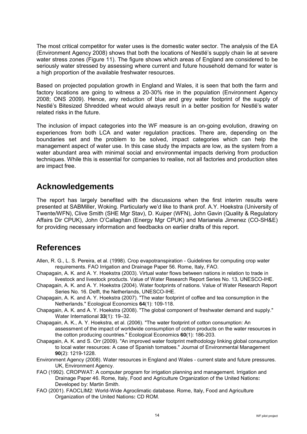The most critical competitor for water uses is the domestic water sector. The analysis of the EA (Environment Agency 2008) shows that both the locations of Nestlé's supply chain lie at severe water stress zones (Figure 11). The figure shows which areas of England are considered to be seriously water stressed by assessing where current and future household demand for water is a high proportion of the available freshwater resources.

Based on projected population growth in England and Wales, it is seen that both the farm and factory locations are going to witness a 20-30% rise in the population (Environment Agency 2008; ONS 2009). Hence, any reduction of blue and grey water footprint of the supply of Nestlé's Bitesized Shredded wheat would always result in a better position for Nestlé's water related risks in the future.

The inclusion of impact categories into the WF measure is an on-going evolution, drawing on experiences from both LCA and water regulation practices. There are, depending on the boundaries set and the problem to be solved, impact categories which can help the management aspect of water use. In this case study the impacts are low, as the system from a water abundant area with minimal social and environmental impacts deriving from production techniques. While this is essential for companies to realise, not all factories and production sites are impact free.

### **Acknowledgements**

The report has largely benefited with the discussions when the first interim results were presented at SABMiller, Woking. Particularly we'd like to thank prof. A.Y. Hoekstra (University of Twente/WFN), Clive Smith (SHE Mgr Stav), D. Kuiper (WFN), John Gavin (Quality & Regulatory Affairs Dir CPUK), John O'Callaghan (Energy Mgr CPUK) and Marianela Jimenez (CO-SH&E) for providing necessary information and feedbacks on earlier drafts of this report.

### **References**

- Allen, R. G., L. S. Pereira, et al. (1998). Crop evapotranspiration Guidelines for computing crop water requirements. FAO Irrigation and Drainage Paper 56. Rome, Italy, FAO.
- Chapagain, A. K. and A. Y. Hoekstra (2003). Virtual water flows between nations in relation to trade in livestock and livestock products. Value of Water Research Report Series No. 13, UNESCO-IHE.
- Chapagain, A. K. and A. Y. Hoekstra (2004). Water footprints of nations. Value of Water Research Report Series No. 16. Delft, the Netherlands, UNESCO-IHE.
- Chapagain, A. K. and A. Y. Hoekstra (2007). "The water footprint of coffee and tea consumption in the Netherlands." Ecological Economics **64**(1): 109-118.
- Chapagain, A. K. and A. Y. Hoekstra (2008). "The global component of freshwater demand and supply." Water International **33**(1): 19–32.
- Chapagain, A. K., A. Y. Hoekstra, et al. (2006). "The water footprint of cotton consumption: An assessment of the impact of worldwide consumption of cotton products on the water resources in the cotton producing countries." Ecological Economics **60**(1): 186-203.
- Chapagain, A. K. and S. Orr (2009). "An improved water footprint methodology linking global consumption to local water resources: A case of Spanish tomatoes." Journal of Environmental Management **90**(2): 1219-1228.
- Environment Agency (2008). Water resources in England and Wales current state and future pressures. UK, Environment Agency.
- FAO (1992). CROPWAT: A computer program for irrigation planning and management. Irrigation and Drainage Paper 46. Rome, Italy, Food and Agriculture Organization of the United Nations**:**  Developed by: Martin Smith.
- FAO (2001). FAOCLIM2: World-Wide Agroclimatic database. Rome, Italy, Food and Agriculture Organization of the United Nations**:** CD ROM.